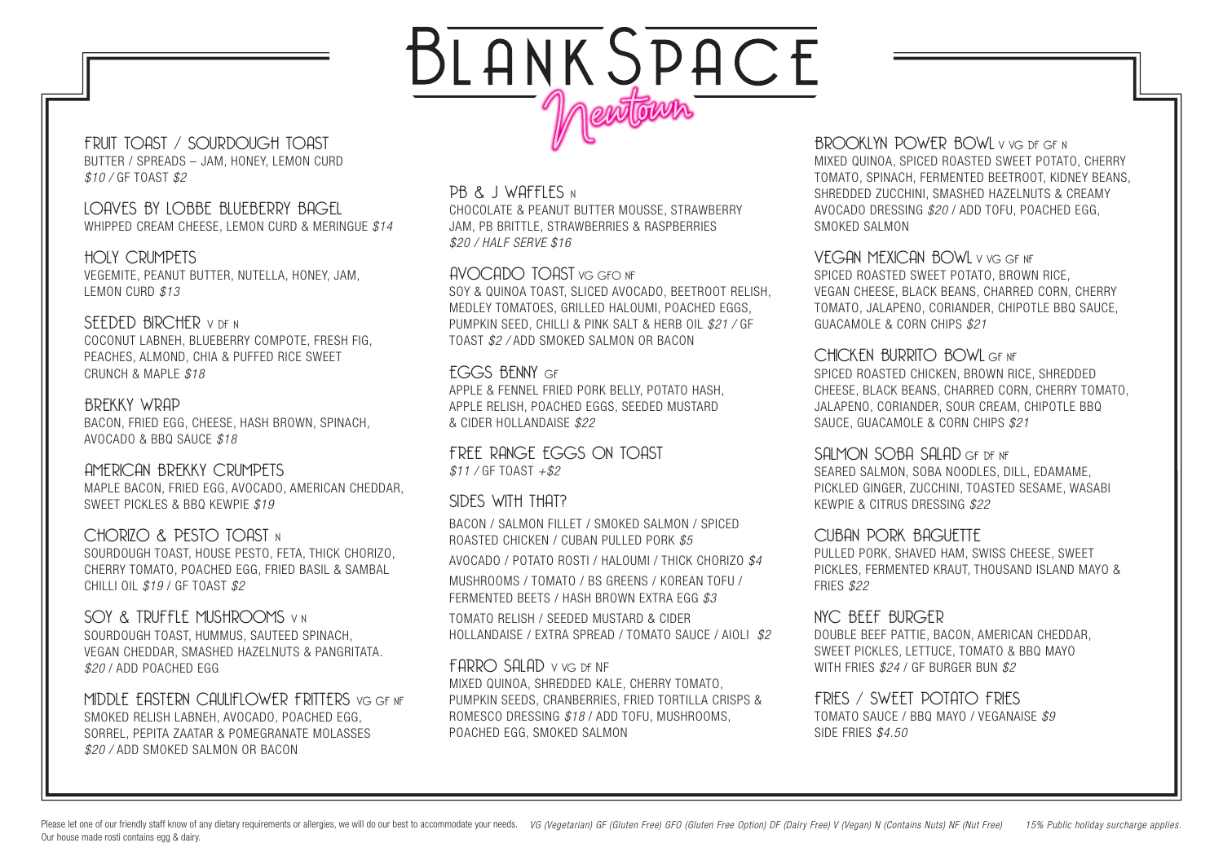# BLANKSPACE newtown

FRUIT TOAST / SOURDOUGH TOAST BUTTER / SPREADS – JAM, HONEY, LEMON CURD *\$10 /* GF TOAST *\$2*

#### LOAVES BY LOBBE BLUEBERRY BAGEL WHIPPED CREAM CHEESE, LEMON CURD & MERINGUE *\$14*

HOLY CRUMPETS VEGEMITE, PEANUT BUTTER, NUTELLA, HONEY, JAM, LEMON CURD *\$13*

#### SEEDED BIRCHER V DE N

COCONUT LABNEH, BLUEBERRY COMPOTE, FRESH FIG, PEACHES, ALMOND, CHIA & PUFFED RICE SWEET CRUNCH & MAPLE *\$18* 

#### BREKKY WRAP

BACON, FRIED EGG, CHEESE, HASH BROWN, SPINACH, AVOCADO & BBQ SAUCE *\$18*

#### AMERICAN BREKKY CRUMPETS

MAPLE BACON, FRIED EGG, AVOCADO, AMERICAN CHEDDAR, SWEET PICKLES & BBQ KEWPIE *\$19* 

#### CHORIZO & PESTO TOAST N

SOURDOUGH TOAST, HOUSE PESTO, FETA, THICK CHORIZO, CHERRY TOMATO, POACHED EGG, FRIED BASIL & SAMBAL CHILLI OIL *\$19* / GF TOAST *\$2*

#### SOY & TRUFFLE MUSHROOMS V N

SOURDOUGH TOAST, HUMMUS, SAUTEED SPINACH, VEGAN CHEDDAR, SMASHED HAZELNUTS & PANGRITATA. *\$20* / ADD POACHED EGG

#### MIDDLE FASTERN CAULIFLOWER FRITTERS VG GENE SMOKED RELISH LABNEH, AVOCADO, POACHED EGG, SORREL, PEPITA ZAATAR & POMEGRANATE MOLASSES *\$20 /* ADD SMOKED SALMON OR BACON

#### PB & J WAFFLES N

CHOCOLATE & PEANUT BUTTER MOUSSE, STRAWBERRY JAM, PB BRITTLE, STRAWBERRIES & RASPBERRIES *\$20 / HALF SERVE \$16*

#### AVOCADO TOAST VG GFO NF

SOY & QUINOA TOAST, SLICED AVOCADO, BEETROOT RELISH, MEDLEY TOMATOES, GRILLED HALOUMI, POACHED EGGS, PUMPKIN SEED, CHILLI & PINK SALT & HERB OIL *\$21 /* GF TOAST *\$2 /* ADD SMOKED SALMON OR BACON

### EGGS BENNY GF

APPLE & FENNEL FRIED PORK BELLY, POTATO HASH, APPLE RELISH, POACHED EGGS, SEEDED MUSTARD & CIDER HOLLANDAISE *\$22*

FREE RANGE EGGS ON TOAST *\$11 /* GF TOAST *+\$2*

#### SIDES WITH THAT?

BACON / SALMON FILLET / SMOKED SALMON / SPICED ROASTED CHICKEN / CUBAN PULLED PORK *\$5*

AVOCADO / POTATO ROSTI / HALOUMI / THICK CHORIZO *\$4*

MUSHROOMS / TOMATO / BS GREENS / KOREAN TOFU / FERMENTED BEETS / HASH BROWN EXTRA EGG *\$3*

TOMATO RELISH / SEEDED MUSTARD & CIDER HOLLANDAISE / EXTRA SPREAD / TOMATO SAUCE / AIOLI *\$2*

#### FARRO SALAD V VG DF NF

MIXED QUINOA, SHREDDED KALE, CHERRY TOMATO, PUMPKIN SEEDS, CRANBERRIES, FRIED TORTILLA CRISPS & ROMESCO DRESSING *\$18* / ADD TOFU, MUSHROOMS, POACHED EGG, SMOKED SALMON

#### BROOKLYN POWER BOWL V VG DE GE N MIXED QUINOA, SPICED ROASTED SWEET POTATO, CHERRY TOMATO, SPINACH, FERMENTED BEETROOT, KIDNEY BEANS,

SHREDDED ZUCCHINI, SMASHED HAZELNUTS & CREAMY AVOCADO DRESSING *\$20* / ADD TOFU, POACHED EGG, SMOKED SALMON

#### VEGAN MEXICAN BOWL V VG GF NF

SPICED ROASTED SWEET POTATO, BROWN RICE, VEGAN CHEESE, BLACK BEANS, CHARRED CORN, CHERRY TOMATO, JALAPENO, CORIANDER, CHIPOTLE BBQ SAUCE, GUACAMOLE & CORN CHIPS *\$21*

#### CHICKEN BURRITO BOWLGENE

SPICED ROASTED CHICKEN, BROWN RICE, SHREDDED CHEESE, BLACK BEANS, CHARRED CORN, CHERRY TOMATO, JALAPENO, CORIANDER, SOUR CREAM, CHIPOTLE BBQ SAUCE, GUACAMOLE & CORN CHIPS *\$21*

#### SALMON SOBA SALAD GE DENE

SEARED SALMON, SOBA NOODLES, DILL, EDAMAME, PICKLED GINGER, ZUCCHINI, TOASTED SESAME, WASABI KEWPIE & CITRUS DRESSING *\$22*

#### CUBAN PORK BAGUETTE

PULLED PORK, SHAVED HAM, SWISS CHEESE, SWEET PICKLES, FERMENTED KRAUT, THOUSAND ISLAND MAYO & FRIES *\$22*

#### NYC BEEF BURGER

DOUBLE BEEF PATTIE, BACON, AMERICAN CHEDDAR, SWEET PICKLES, LETTUCE, TOMATO & BBQ MAYO WITH FRIES *\$24* / GF BURGER BUN *\$2*

### FRIES / SWEET POTATO FRIES

TOMATO SAUCE / BBQ MAYO / VEGANAISE *\$9* SIDE FRIES *\$4.50*